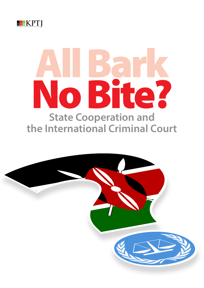

# All Bark No Bite? **State Cooperation and the International Criminal Court**

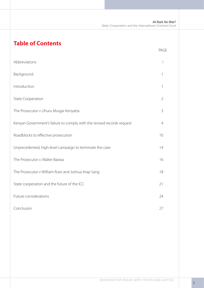All Bark No Bite? *State Cooperation and the International Criminal Court*

# **Table of Contents**

|                                                                        | PAGE           |
|------------------------------------------------------------------------|----------------|
| Abbreviations                                                          | Ť              |
| Background                                                             | 1              |
| Introduction                                                           | 1              |
| <b>State Cooperation</b>                                               | $\overline{2}$ |
| The Prosecutor v Uhuru Muigai Kenyatta                                 | 3              |
| Kenyan Government's failure to comply with the revised records request | $\overline{4}$ |
| Roadblocks to effective prosecution                                    | 10             |
| Unprecedented, high-level campaign to terminate the case               | 14             |
| The Prosecutor v. Walter Barasa                                        | 16             |
| The Prosecutor v William Ruto and Joshua Arap Sang                     | 18             |
| State cooperation and the future of the ICC                            | 21             |
| Future considerations                                                  | 24             |
| Conclusion                                                             | 27             |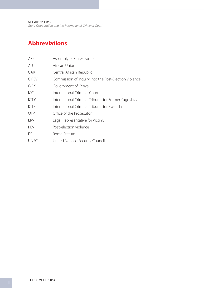# **Abbreviations**

| ASP          | Assembly of States Parties                            |
|--------------|-------------------------------------------------------|
| AU           | African Union                                         |
| CAR          | Central African Republic                              |
| <b>CIPEV</b> | Commission of Inquiry into the Post-Election Violence |
| <b>GOK</b>   | Government of Kenya                                   |
| ICC          | International Criminal Court                          |
| <b>ICTY</b>  | International Criminal Tribunal for Former Yugoslavia |
| <b>ICTR</b>  | International Criminal Tribunal for Rwanda            |
| <b>OTP</b>   | Office of the Prosecutor                              |
| <b>LRV</b>   | Legal Representative for Victims                      |
| <b>PEV</b>   | Post-election violence                                |
| <b>RS</b>    | Rome Statute                                          |
| <b>UNSC</b>  | United Nations Security Council                       |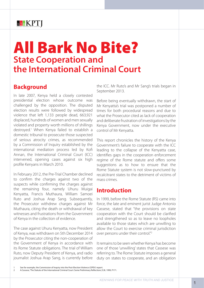# **& & KPT**

# All Bark No Bite? **State Cooperation and the International Criminal Court**

# **Background**

In late 2007, Kenya held a closely contested presidential election whose outcome was challenged by the opposition. The disputed election results were followed by widespread violence that left 1,133 people dead, 663,921 displaced, hundreds of women and men sexually violated and property worth millions of shillings destroyed.1 When Kenya failed to establish a domestic tribunal to prosecute those suspected of serious atrocity crimes, as recommended by a Commission of Inquiry established by the international mediation process led by Kofi Annan, the International Criminal Court (ICC) intervened, opening cases against six high profile Kenyans in March 2010.

In February 2012, the Pre-Trial Chamber declined to confirm the charges against two of the suspects while confirming the charges against the remaining four, namely Uhuru Muigai Kenyatta, Francis Muthaura, William Samoei Ruto and Joshua Arap Sang. Subsequently, the Prosecutor withdrew charges against Mr Muthaura, citing the death or withdrawal of key witnesses and frustrations from the Government of Kenya in the collection of evidence.

The case against Uhuru Kenyatta, now President of Kenya, was withdrawn on 5th December 2014 by the Prosecutor citing the non-cooperation of the Government of Kenya in accordance with its Rome Statute obligations. The trial of William Ruto, now Deputy President of Kenya, and radio journalist Joshua Arap Sang, is currently before

the ICC. Mr Ruto's and Mr Sang's trials began in September 2013.

Before being eventually withdrawn, the start of Mr Kenyatta's trial was postponed a number of times for both procedural reasons and due to what the Prosecutor cited as lack of cooperation and deliberate frustration of investigations by the Kenya Government, now under the executive control of Mr Kenyatta.

This report chronicles the history of the Kenya Government's failure to cooperate with the ICC leading to the collapse of the Kenyatta case, identifies gaps in the cooperation enforcement regime of the Rome statute and offers some suggestions as to how to ensure that the Rome Statute system is not slow-punctured by recalcitrant states to the detriment of victims of mass crimes.

### **Introduction**

In 1999, before the Rome Statute (RS) came into force, the late and eminent jurist Judge Antonio Cassese, stated that "the provisions on state cooperation with the Court should be clarified and strengthened so as to leave no loopholes available to those states which are unwilling to allow the Court to exercise criminal jurisdiction over persons under their control."2

It remains to be seen whether Kenya has become one of those 'unwilling' states that Cassese was referring to. The Rome Statute imposes a general duty on states to cooperate, and an obligation

<sup>1</sup> See for example, the Commission of Inquiry into the Post-Election Violence (CIPEV) report.

<sup>2</sup> A.Cassese, 'The Statute of the International Criminal Court: Some Preliminary Reflections', EJIL 1999, P171.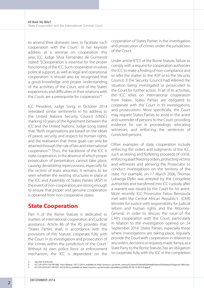to amend their domestic laws to facilitate such  $cooperation$  with the Court. $3$  In her keynote address at a seminar on cooperation this year, ICC Judge Silvia Fernández de Gurmendi stated: "[C]ooperation is essential for the proper functioning of the ICC. Such cooperation involves political support, as well as legal and operational cooperation. It should also be recognised that a good knowledge and proper understanding of the activities of the Court, and of the States' experiences and difficulties in their relations with the Court, are a prerequisite for cooperation".<sup>4</sup>

ICC President, Judge Song, in October 2014 reiterated similar sentiments in his address to the United Nations Security Council (UNSC) marking 10 years of the Agreement between the ICC and the United Nations. Judge Song stated that, "Both organisations are based on the ideals of peace, security and respect for human rights, and the realisation that these goals can only be attained through the rule of law and international cooperation."5 Thus, the backbone of the ICC is state cooperation, in the absence of which proper prosecution of perpetrators cannot take place, causing devastating repercussions, especially for the victims of mass atrocities. It remains to be seen whether the existing structures in place at the ICC and Assembly of States Parties (ASP) in the event of non-cooperation, are strong enough to ensure that proper and genuine cooperation is obtained from non-cooperative states.

# **State Cooperation**

Part 9 of the Rome Statute is dedicated to matters of international cooperation and judicial assistance. Article 86 of the RS provides that, "States Parties shall, in accordance with the provisions of this Statute, cooperate fully with the Court in its investigation and prosecution of the crimes within the jurisdiction of the Court." Without its own police force or enforcement mechanism, the ICC is dependent on the

cooperation of States Parties in the investigation and prosecution of crimes under the jurisdiction of the Court.

Under article 87(7) of the Rome Statute, failure to comply with a request for cooperation authorizes the ICC to make a finding of non-compliance and to refer the matter to the ASP or to the Security Council, if the Security Council had referred the situation being investigated or prosecuted to the Court for further action. In all of its activities, the ICC relies on international cooperation from States. States Parties are obligated to cooperate with the Court in its investigations, and prosecutions. More specifically, the Court may request States Parties to assist in the arrest and surrender of persons to the Court; providing evidence for use in proceedings; relocating witnesses; and enforcing the sentences of convicted persons.

Other examples of state cooperation include enforcing the orders and judgments of the ICC, such as seizing and forfeiting proceeds of crime, enforcing asset freezing orders, protecting victims and witnesses and allowing the Prosecutor to conduct investigations on the territory of the state. For example, on 17 March 2006, Thomas Lubanga Dyilo was arrested by the Congolese authorities and transferred into ICC custody after a warrant was issued by the Court for his arrest. More recently ICC Prosecutor Fatou Bensouda met with the Central African Republic's (CAR) Minister for Justice with responsibility for judicial reform and human rights and the Attorney-General, in order to discuss the issue of the CAR's cooperation with the Court, particularly in relation to the investigation opened on 24 September 2014. States Parties, especially those where investigations are taking place, regularly provide the Court with cooperation in relation to any orders, decisions or requests made. Kenya, as a State Party to the Rome Statute, has an obligation to cooperate fully with the ICC in the completion

<sup>3</sup> See Part 9 of the RS.

<sup>4</sup> ICC-CPI-20141105-PR1060, Press Release : 05/11/2014, available at: http://www.icc-cpi.int/en\_menus/icc/press%20and%20media/press%20releases/Pages/pr1060.aspx

<sup>5</sup> ICC-CPI-20141031-PR1057: 30/10/2014, available at: http://www.icc-cpi.int/iccdocs/presidency/UNGA-PS-30-10-2014-Eng.pdf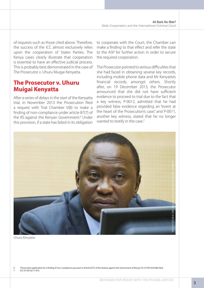of requests such as those cited above. Therefore, the success of the ICC almost exclusively relies upon the cooperation of States Parties. The Kenya cases clearly illustrate that cooperation is essential to have an effective judicial process. This is probably best demonstrated in the case of The Prosecutor v. Uhuru Muigai Kenyatta.

# **The Prosecutor v. Uhuru Muigai Kenyatta**

After a series of delays in the start of the Kenyatta trial, in November 2013 the Prosecution filed a request with Trial Chamber V(B) to make a finding of non-compliance under article 87(7) of the RS against the Kenyan Government.<sup>6</sup> Under this provision, if a state has failed in its obligation

to cooperate with the Court, the Chamber can make a finding to that effect and refer the state to the ASP for further action in order to secure the required cooperation.

The Prosecutor pointed to serious difficulties that she had faced in obtaining several key records, including mobile phone data and Mr Kenyatta's financial records, amongst others. Shortly after, on 19 December 2013, the Prosecutor announced that she did not have sufficient evidence to proceed to trial due to the fact that a key witness, P-0012, admitted that he had provided false evidence regarding an "event at the heart of the Prosecution's case," and P-0011, another key witness, stated that he no longer wanted to testify in the case.<sup>7</sup>



Uhuru Kenyatta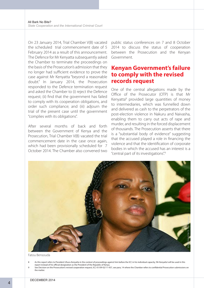On 23 January 2014, Trial Chamber V(B) vacated the scheduled trial commencement date of 5 February 2014 as a result of this announcement. The Defence for Mr Kenyatta subsequently asked the Chamber to terminate the proceedings on the basis of the Prosecution's admission that they no longer had sufficient evidence to prove the case against Mr Kenyatta "beyond a reasonable doubt." In January 2014, the Prosecution responded to the Defence termination request and asked the Chamber to (i) reject the Defence request; (ii) find that the government has failed to comply with its cooperation obligations, and order such compliance; and (iii) adjourn the trial of the present case until the government "complies with its obligations".

After several months of back and forth between the Government of Kenya and the Prosecution, Trial Chamber V(B) vacated the trial commencement date in the case once again, which had been provisionally scheduled for 7 October 2014. The Chamber also convened two

public status conferences on 7 and 8 October 2014 to discuss the status of cooperation between the Prosecution and the Kenyan Government.

# **Kenyan Government's failure to comply with the revised records request**

One of the central allegations made by the Office of the Prosecutor (OTP) is that Mr Kenyatta8 provided large quantities of money to intermediaries, which was funnelled down and delivered as cash to the perpetrators of the post-election violence in Nakuru and Naivasha, enabling them to carry out acts of rape and murder, and resulting in the forced displacement of thousands. The Prosecution asserts that there is a "substantial body of evidence" suggesting that the accused played a role in financing the violence and that the identification of corporate bodies in which the accused has an interest is a "central part of its investigations".9



Fatou Bensouda

- 8 As this report refers to President Uhuru Kenyatta in the context of proceedings against him before the ICC in his individual capacity, 'Mr Kenyatta' will be used in this report instead of his official designation as the President of the Republic of Kenya.
- See Decision on the Prosecution's revised cooperation request, ICC-01/09-02/11-937, see para, 14 where the Chamber refers to confidential Prosecution submissions on the matter.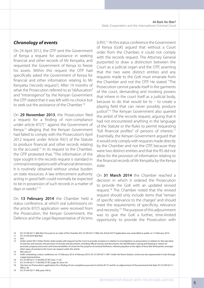#### *Chronology of events*

On 24 April 2012, the OTP sent the Government of Kenya a request for assistance in seeking financial and other records of Mr Kenyatta, and requested the Government of Kenya to freeze his assets. Within this request the OTP had specifically asked the Government of Kenya for financial and other information relating to Mr Kenyatta ('records request'). After 19 months of what the Prosecution referred to as "obfuscation" and "intransigence" by the Kenyan Government the OTP stated that it was left with no choice but to seek out the assistance of the Chamber.10

On **29 November 2013**, the Prosecution filed a request for a finding of non-compliance under article  $87(7)^{11}$  against the Government of Kenya,12 alleging that the Kenyan Government had failed to comply with the Prosecution's April 2012 request under Article 93(1) of the Statute to produce financial and other records relating to the accused.<sup>13</sup> In its request to the Chamber, the OTP protested that, "The information of the type sought in the records request is standard in criminal investigations with a financial dimension. It is routinely obtained without undue burden on state resources. A law enforcement authority acting in good faith could normally be expected to be in possession of such records in a matter of days or weeks." 14

On **13 February 2014** the Chamber held a status conference, at which oral submissions on the article 87(7) application were received from the Prosecution, the Kenyan Government, the Defence and the Legal Representative of Victims

(LRV).15 At this status conference the Government of Kenya (GoK) argued that without a Court order from the Chamber, it could not comply with the records request. The Attorney General purported to draw a distinction between the Court as a judicial organ and the OTP, asserting that the two were distinct entities and any requests made to the GoK must emanate from the Chamber and not the OTP. He stated: "The Prosecution cannot parade itself in the garments of the court, demanding and invoking powers that inhere in the court itself as a judicial body, because to do that would be to – to create a playing field that can never possibly produce justice".<sup>16</sup> The Kenyan Government also queried the ambit of the records request, arguing that it had not encountered anything in the language of the Statute or the Rules to permit requesting "full financial profiles" of persons of interest.<sup>17</sup> Essentially, the Kenyan Government argued that it would only comply with requests made directly by the Chamber and not the OTP, because they were two distinct entities and that the RS did not allow for the provision of information relating to the financial records of Mr Kenyatta by the Kenya state.

On **31 March 2014** the Chamber reached a decision in which it ordered the Prosecution to provide the GoK with an updated revised request.18 The Chamber noted that the revised request should only include items that "remain of specific relevance to the charges" and should meet the requirements of specificity, relevance and necessity.19 The purpose of this adjournment was to give the GoK a further, time-limited opportunity to provide the Prosecution with

<sup>10</sup> ICC-01/09-02/11-866-Red. Pursuant to an order of the Chamber (ICC-01/09-02/11-900), the Article 87(7) Application was reclassified as public on 12 February 2014. 11 ICC-01/09-02/ll-866-Red.

<sup>12</sup> *Ibid*.

<sup>13</sup> Under article 93(1) States Parties shall comply with requests by the Court to provide assistance in relation to investigations or prosecutions in relation to: the execution of searches and seizures; the provision of records and documents, including official records and documents; the identification, tracing and freezing or seizure of proceeds, property and assets and instrumentalities of crimes for the purpose of eventual forfeiture, without prejudice to the rights of *bona fide* third parties; amongst other types of assistance the Court can request under this article.

<sup>14</sup> *Ibid*, para.27 15 Order scheduling a status conference on 13 February 2014, 6 February 2014, ICC-01/09-02/11-897. Under the Rome Statute, victims are also represented in trials through a legal representative

<sup>16</sup> ICC-01/09-02/11-T-28-ENG ET WT, lines 17-20.

<sup>17</sup> ICC-01/09-02/11-T-28-ENG ET WT, page 95, lines 4-6.

<sup>&#</sup>x27;Decision on Prosecution's applications for a finding of non-compliance pursuant to Article 87 (7) and for an adjournment of the provisional trial date', ICC-01/09-02/11-908, p. 46.

<sup>19</sup> ICC-01/09-02/11-908, para.100 (i).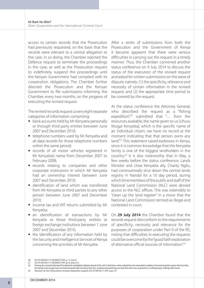access to certain records that the Prosecution had previously requested, on the basis that the records were relevant to a central allegation to the case. In so doing, the Chamber rejected the Defence request to terminate the proceedings in the case, as well as the Prosecution request to indefinitely suspend the proceedings until the Kenyan Government had complied with its cooperation obligations. The Chamber further directed the Prosecution and the Kenyan Government to file submissions informing the Chamber, every two months, on the progress of executing the revised request.

The revised records request covers eight separate categories of information comprising:

- bank accounts held by Mr Kenyatta personally or through third party entities between June 2007 and December 2010;
- telephone numbers used by Mr Kenyatta and all data records for those telephone numbers within the same period;
- records of all motor vehicles registered in Mr Kenyatta's name from December 2007 to February 2008;
- records relating to companies and other corporate institutions in which Mr Kenyatta had an ownership interest between June 2007 and December 2010;
- identification of land which was transferred from Mr Kenyatta or third parties to any other person between June 2007 and December 2010;
- income tax and VAT returns submitted by Mr Kenyatta;
- an identification of transactions by Mr Kenyatta or those third-party entities at foreign exchange institutions between 1 June 2007 and December 2010;
- the identification of any information held by the Security and Intelligence Services of Kenya concerning the activities of Mr Kenyatta.

After a series of submissions from both the Prosecution and the Government of Kenya it became apparent that there were serious difficulties in carrying out the request in a timely manner. Thus, the Chamber convened another status conference on 9 July 2014 to discuss the status of the execution of the revised request and asked for written submissions on the areas of dispute, namely: (1) the specificity, relevance and necessity of certain information in the revised request; and (2) the appropriate time period to be covered by the request.

At the status conference the Attorney General, who described the request as a "fishing expedition",<sup>20</sup> submitted that "... from the resources available, the name given to us [Uhuru Muigai Kenyatta], which is the specific name of an individual citizen, we have no record at the moment indicating that that person owns any land."21 This statement raised eyebrows in Kenya, since it is common knowledge that the Kenyatta family is one of the biggest landholders in the country.22 It is also noteworthy that in May, a few weeks before the status conference, Lands Minister and close Kenyatta ally, Charity Ngilu, had controversially shut down the central lands registry in Nairobi for a 10 day period, during which time members of the public and staff of the National Land Commission (NLC) were denied access to the NLC offices. This was ostensibly to "clean up the land register" in a move that the National Land Commission termed as illegal and contested in court.

On **29 July 2014** the Chamber found that the records request did conform to the requirements of specificity, necessity and relevance for the purposes of cooperation under Part 9 of the RS, noting that difficulties in executing the requests could be overcome by the "good faith exploration of alternative official sources of information".<sup>23</sup>

<sup>20</sup> ICC-01/09-02/11-T-30-ENG ET WT, p. 17, line 6.

<sup>21</sup> ICC-01/09-02/11-T-30-ENG ET WT, p.12, lines 2-4.

<sup>22</sup> During the second televised Presidential candidates' debate ahead of the 2013 elections, when asked how he intended to address the land question given the fact that his family owns huge tracts of land, Kenyatta did not deny this fact, instead only pointing out that the land 'was acquired on a willing buyer willing seller basis'. 23 Decision on the Prosecution's revised cooperation request, ICC-01/09-02/11-937, para. 41.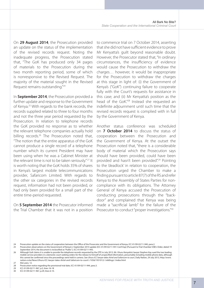On **29 August 2014**, the Prosecution provided an update on the status of the implementation of the revised records request. Noting the inadequate progress, the Prosecution stated that, "The GoK has produced only 34 pages of materials to the Prosecution during the two month reporting period, some of which is nonresponsive to the Revised Request. The majority of the material sought in the Revised Request remains outstanding."24

In **September 2014**, the Prosecution provided a further update and response to the Government of Kenya.<sup>25</sup> With regards to the bank records, the records supplied related to three to four months and not the three year period requested by the Prosecution. In relation to telephone records the GoK provided no response as to whether the relevant telephone companies actually hold billing records.<sup>26</sup> The Prosecution noted that, "The notion that the entire apparatus of the GoK cannot produce a single record of a telephone number which its current President may have been using when he was a Cabinet Minister at the relevant time is not to be taken seriously." 27 It is worth noting that the GoK holds 35% of shares in Kenya's largest mobile telecommunications provider, Safaricom Limited. With regards to the other six categories in the revised records request, information had not been provided, or had only been provided for a small part of the entire time-period requested.

On **5 September 2014** the Prosecutor informed the Trial Chamber that it was not in a position

to commence trial on 7 October 2014, asserting that she did not have sufficient evidence to prove Mr Kenyatta's guilt beyond reasonable doubt. However, the Prosecutor stated that, "In ordinary circumstances, the insufficiency of evidence would cause the Prosecution to withdraw the charges… however, it would be inappropriate for the Prosecution to withdraw the charges at this stage in light of: (i) the Government of Kenya's ("GoK") continuing failure to cooperate fully with the Court's requests for assistance in this case; and (ii) Mr Kenyatta's position as the head of the GoK."28 Instead she requested an indefinite adjournment until such time that the revised records request is complied with in full by the Government of Kenya.

Another status conference was scheduled on **7 October 2014** to discuss the status of cooperation between the Prosecution and the Government of Kenya. At the outset the Prosecution noted that, "there is a considerable body of material which the Prosecution says should have been provided, could have been provided and hasn't been provided".29 Pointing to the 'deadlock' in relation to cooperation, the Prosecution urged the Chamber to make a finding pursuant to article 87(7) of the RS and refer Kenya to the Assembly of States Parties for noncompliance with its obligations. The Attorney General of Kenya accused the Prosecution of conducting prosecutions through the "backdoor" and complained that Kenya was being made a "sacrificial lamb" for the failure of the Prosecutor to conduct "proper investigations."<sup>30</sup>

30 ICC-01/09-02/11-967, p.29, lines 6-10.

<sup>24</sup> Prosecution update on the status of cooperation between the Office of the Prosecutor and the Government of Kenya, ICC-01/09-02/11-940, para.2.

<sup>25</sup> Prosecution observations on the Government of Kenya's 2 September 2014 update (ICC-01/09-02/11-941-Conf-Exp) (Pursuant to Trial Chamber V(B)'s Order, dated 19 September 2014, the document is reclassified as "Public"), ICC-01/09-02/11-943.

<sup>26</sup> Although GoK claims it is unable to provide the telephone records requested by the OTP, in July 2013, Mr. Uhuru Kenyatta's lawyer Stephen Kay sued the two leading mobile service providers in a domestic court seeking orders for the release to himself of unspecified information, presumably including mobile phone data, although this cannot be confirmed since the proceedings were held in camera. See *Uhuru ICC lawyer takes Airtel and Safaricom to court,* Daily Nation, 29 July 2013, http://www.<br>nation.co.ke/News/Uhuru-ICC-lawyer-takes-Airtel-and-Sa

<sup>27</sup> *Ibid*, para. 12.

<sup>28</sup> Prosecution notice regarding the provisional trial date, ICC-01/09-02/11-944, para.3. 29 ICC-01/09-02/11-967, p.5, lines 16-18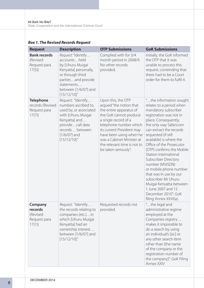| <b>Request</b>                                                | <b>Description</b>                                                                                                                                                                  | <b>OTP Submissions</b>                                                                                                                                                                                                                                                                           | <b>GoK Submissions</b>                                                                                                                                                                                                                                                                                                                                                                                                                                                                                                                                |
|---------------------------------------------------------------|-------------------------------------------------------------------------------------------------------------------------------------------------------------------------------------|--------------------------------------------------------------------------------------------------------------------------------------------------------------------------------------------------------------------------------------------------------------------------------------------------|-------------------------------------------------------------------------------------------------------------------------------------------------------------------------------------------------------------------------------------------------------------------------------------------------------------------------------------------------------------------------------------------------------------------------------------------------------------------------------------------------------------------------------------------------------|
| <b>Bank records</b><br>(Revised<br>Request para<br>17(5)      | Request: "Identify<br>accountsheld<br>by [Uhuru Muigai<br>Kenyatta] personally,<br>or through third<br>partiesand provide<br>statements<br>between [1/6/07] and<br>[15/12/10]'      | Complied with for 3/4<br>month period in 2008/9.<br>No other records<br>provided.                                                                                                                                                                                                                | Initially, the GoK informed<br>the OTP that it was<br>unable to process this<br>request, contending that<br>there had to be a Court<br>order for them to fulfil it.                                                                                                                                                                                                                                                                                                                                                                                   |
| <b>Telephone</b><br>records (Revised<br>Request para<br>17(7) | Request: "Identify<br>numbers ascribed to,<br>used by, or associated<br>with [Uhuru Muigai<br>Kenyatta] and<br>providecall data<br>records between<br>$[1/6/07]$ and<br>[15/12/10]' | Upon this, the OTP<br>argued "the notion that<br>the entire apparatus of<br>the GoK cannot produce<br>a single record of a<br>telephone number which<br>its current President may<br>have been using when he<br>was a Cabinet Minister at<br>the relevant time is not to<br>be taken seriously". | "the information sought<br>relates to a period when<br>mandatory subscriber<br>registration was not in<br>place. Consequently,<br>the only way Safaricom<br>can extract the records<br>requested (if still<br>available) is where the<br>Office of the Prosecutor<br>(OTP) confirms the Mobile<br>Station International<br><b>Subscriber Directory</b><br>number (MSISDN)<br>or mobile phone number<br>that was in use by our<br>subscriber Mr Uhuru<br>Muigai Kenyatta between<br>1 June 2007 and 15<br>December 2010": GoK<br>filing Annex XXVI(a). |
| Company<br>records<br>(Revised<br>Request para<br>17(1)       | Request: "Identify<br>the records relating to<br>companies (etc.)in<br>which [Uhuru Muigai<br>Kenyatta] had an<br>ownership interest<br>between [1/6/07] and<br>[15/12/10]'         | Requested records not<br>provided.                                                                                                                                                                                                                                                               | "the legal and<br>administrative regime<br>employed at the<br>Companies registry<br>makes it impossible to<br>do a search by using<br>an individual's [sic] or<br>any other search item<br>other than [the name<br>of the company or the<br>registration number of<br>the company]": GoK Filing<br>Annex XXIV                                                                                                                                                                                                                                         |

#### *Box 1. The Revised Records Request*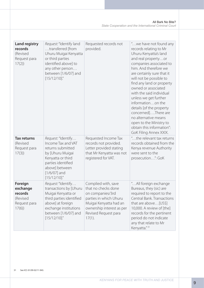| <b>Land registry</b><br>records<br>(Revised<br>Request para<br>17(2) | Request: "Identify land<br>transferred [from<br>Uhuru Muigai Kenyatta<br>or third parties<br>identified above] to<br>any other person<br>between [1/6/07] and<br>[15/12/10]'        | Requested records not<br>provided.                                                                                                                                                   | " we have not found any<br>records relating to Mr<br>Uhuru Kenyatta's land<br>and real propertyor<br>companies associated to<br>him. And therefore we<br>are certainly sure that it<br>will not be possible to<br>find any land or property<br>owned or associated<br>with the said individual<br>unless we get further<br>informationon the<br>details [of the property<br>concerned]There are<br>no alternative means<br>open to the Ministry to<br>obtain this information":<br>GoK Filing Annex XXIX. |
|----------------------------------------------------------------------|-------------------------------------------------------------------------------------------------------------------------------------------------------------------------------------|--------------------------------------------------------------------------------------------------------------------------------------------------------------------------------------|-----------------------------------------------------------------------------------------------------------------------------------------------------------------------------------------------------------------------------------------------------------------------------------------------------------------------------------------------------------------------------------------------------------------------------------------------------------------------------------------------------------|
| <b>Tax returns</b><br>(Revised<br>Request para<br>17(3)              | Request: "Identify<br>Income Tax and VAT<br>returns submitted<br>by [Uhuru Muigai<br>Kenyatta or third<br>parties identified<br>above] between<br>$[1/6/07]$ and<br>[15/12/10]'     | Requested Income Tax<br>records not provided.<br>Letter provided stating<br>that Mr Kenyatta was not<br>registered for VAT.                                                          | "the relevant tax returns<br>records obtained from the<br>Kenya revenue Authority<br>were sent to the<br>prosecution": GoK                                                                                                                                                                                                                                                                                                                                                                                |
| Foreign<br>exchange<br>records<br>(Revised<br>Request para<br>17(6)  | Request: "Identify<br>transactions by [Uhuru<br>Muigai Kenyatta or<br>third parties identified<br>above] at foreign<br>exchange institutions<br>between [1/6/07] and<br>[15/12/10]' | Complied with, save<br>that no checks done<br>on companies/3rd<br>parties in which Uhuru<br>Muigai Kenyatta had an<br>ownership interest as per<br>Revised Request para<br>$17(1)$ . | "All foreign exchange<br>Bureaus, they (sic) are<br>required to report to the<br>Central Bank. Transactions<br>that are above[US\$]<br>10,000. A review of [the]<br>records for the pertinent<br>period do not indicate<br>any that relate to Mr<br>Kenyatta." <sup>31</sup>                                                                                                                                                                                                                              |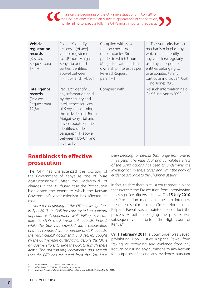

| <b>Vehicle</b><br>registration<br>records<br>(Revised<br>Request para<br>17(4) | Request: "Identify<br>records[of any]<br>vehicle registered<br>to[Uhuru Muigai<br>Kenyatta or third<br>parties identified<br>above] between<br>$[1/11/07$ and $1/4/08]$ .                                                                                                         | Complied with, save<br>that no checks done<br>on companies/3rd<br>parties in which Uhuru<br>Muigai Kenyatta had an<br>ownership interest as per<br><b>Revised Request</b><br>para 17(1). | "The Authority has no<br>mechanism in place by<br>which it can identify<br>any vehicle(s) regularly<br>used bycorporate<br>entities belonging to<br>or associated to any<br>particular individual": GoK<br>Filing Annex XXV. |
|--------------------------------------------------------------------------------|-----------------------------------------------------------------------------------------------------------------------------------------------------------------------------------------------------------------------------------------------------------------------------------|------------------------------------------------------------------------------------------------------------------------------------------------------------------------------------------|------------------------------------------------------------------------------------------------------------------------------------------------------------------------------------------------------------------------------|
| Intelligence<br>records<br>(Revised<br>Request para<br>17(8)                   | Request: "Identify<br>any information held<br>by the security and<br>intelligence services<br>of Kenya concerning<br>the activities of [Uhuru<br>Muigai Kenyatta] and<br>any corporate entities<br>identified under<br>paragraph (1) above<br>between [1/6/07] and<br>[15/12/10]' | Complied with.                                                                                                                                                                           | No such information held:<br>GoK filing Annex XXVII.                                                                                                                                                                         |

# **Roadblocks to effective prosecution**

The OTP has characterized the position of the Government of Kenya as one of "pure obstructionism."32 After the withdrawal of charges in the *Muthaura* case the Prosecution highlighted the extent to which the Kenyan Government's obstructionism has affected its case:

*"…since the beginning of the OTP's investigations in April 2010, the GoK has constructed an outward appearance of cooperation, while failing to execute*  fully the OTP's most important requests. Indeed, *while the GoK has provided some cooperation and has complied with a number of OTP requests, the most critical documents and records sought by the OTP remain outstanding, despite the OTP's exhaustive efforts to urge the GoK to furnish these items. The outstanding documents and records that the OTP has requested from the GoK have* 

*been pending for periods that range from one to three years. The individual and cumulative effect of the GoK's actions has been to undermine the investigation in these cases and limit the body of evidence available to the Chamber at trial."33*

In fact, to date there is still a court order in place that *prevents* the Prosecution from interviewing ten key police officers in Kenya. On **15 July 2010** the Prosecution made a request to interview these ten senior police officers. Hon. Justice Kalpana Rawal was appointed to conduct the process. A suit challenging the process was subsequently filed before the High Court of Kenya.34

On **1 February 2011**, a court order was issued, prohibiting Hon. Justice Kalpana Rawal from "taking or recording any evidence from any Kenyan or issuing any summons to any Kenyan for purposes of taking any evidence pursuant

- 33 ICC-01/09-02/11-733-Red, 13 May 2013, paras 1-4.
- 34 *Mwangi v The Hon. Attorney General & Hon. Kalpana Rawal*, HCCC, Petition No. 2 of 2011.

<sup>32</sup> ICC-01/09-02/11-T-27-ENG ET WT, lines 11-12.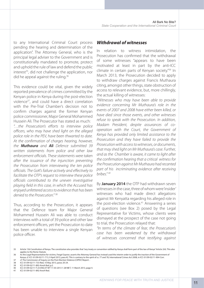to any International Criminal Court process pending the hearing and determination of the application". The Attorney General, who is the principal legal adviser to the Government and is constitutionally mandated to promote, protect and uphold the rule of law and defend the public interest<sup>35</sup>, did not challenge the application, nor did he appeal against the ruling.<sup>36</sup>

This evidence could be vital, given the widely reported prevalence of crimes committed by the Kenyan police in Kenya during the post-election violence37, and could have a direct correlation with the Pre-Trial Chamber's decision not to confirm charges against the former Kenyan police commissioner, Major General Mohammed Hussein Ali. The Prosecutor has stated as much:

*"…the Prosecution's efforts to interview police officers, who may have shed light on the alleged police role in the PEV, have been thwarted to date. At the confirmation of charges hearing, however, the Muthaura and Ali Defence submitted 39 written statements from police and other law enforcement officials. These statements were taken after the issuance of the injunction preventing the Prosecution from interviewing the ten police officials. The GoK's failure actively and effectively to facilitate the OTP's request to interview these police officials contributed to the uneven investigative playing field in this case, in which the Accused has enjoyed unfettered access to evidence that has been denied to the Prosecution."* <sup>38</sup>

Thus, according to the Prosecution, it appears that the Defence team for Major General Mohammed Hussein Ali was able to conduct interviews with a total of 39 police and other law enforcement officers, yet the Prosecution to date has been unable to interview a single Kenyan police officer.

#### *Withdrawal of witnesses*

In relation to witness intimidation, the Prosecution has confirmed that the withdrawal of some witnesses "appears to have been motivated at least in part by the anti-ICC climate in certain parts of Kenyan society."39 In March 2013, the Prosecution decided to apply to withdraw charges against Francis Muthaura citing, amongst other things, state obstruction of access to relevant evidence, but, more chillingly, the actual killing of witnesses:

*"Witnesses who may have been able to provide evidence concerning Mr Muthaura's role in the events of 2007 and 2008 have either been killed, or have died since those events, and other witnesses refuse to speak with the Prosecution. In addition, Madam President, despite assurances of cooperation with the Court, the Government of Kenya has provided only limited assistance to the Prosecution and they have failed to provide the Prosecution with access to witnesses, or documents, that may shed light on Mr Muthaura's case. Further, and as the Chamber is aware, it came to light after the confirmation hearing that a critical witness for the Prosecution against Mr Muthaura had recanted part of his incriminating evidence after receiving bribes." 40*

By **January 2014** the OTP had withdrawn seven witnesses in the case, three of whom were 'insider' witnesses who had made direct allegations against Mr Kenyatta regarding his alleged role in the post-election violence.<sup>41</sup> Answering a series of questions (see Box 2) posed by the Legal Representative for Victims, whose clients were dismayed at the prospect of the case not going to trial, the Prosecution relayed that:

*"In terms of the climate of fear, the Prosecution's case has been weakened by the withdrawal of witnesses concerned that testifying against* 

- 37 cf. The Commission of Inquiry on the Post-Election Violence (CIPEV) Report. .
- 38 ICC-01/09-02/11-733-Red, 10 May 2013, paras 20-24.
- 

41 ICC-01/09-02/11-892-AnxA-Red.

<sup>35</sup> Article 156 Constitution of Kenya. The constitution also provides that "any treaty or convention ratified by Kenya shall form part of the law of Kenya" Article 2(4). This also applies to the Rome Statute.

<sup>36</sup> As the Legal Representative for victims, Fergal Gaynor, asserts the Attorney General has instead used the interim order to justify the inaction of the Government of Kenya; cf. ICC-01/09-02/11-713, 9 April 2013, para.42. This is contrary to the spirit of ss. 77 and 78, International Crimes Act 2008, in ICC-01/09-02/11-904-Corr.

<sup>39</sup> ICC-01/09-02/11-892-AnxA-Red, p.2. 40 ICC-01/09-02/11-T-23-ENG ET WT 11-03-2013 1-28 NB T, 11 March 2013, page 4.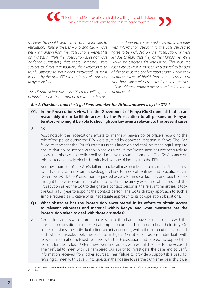This climate of fear has also chilled the willingness of individuals with information relevant to the case to come forward.

*Mr Kenyatta would expose them or their families to retaliation. Three witnesses – 5, 6 and 426 – have been withdrawn from the Prosecution's witness list on this basis. While the Prosecution does not have evidence suggesting that these witnesses were subject to direct intimidation, their reluctance to testify appears to have been motivated, at least in part, by the anti-ICC climate in certain parts of Kenyan society.*

*This climate of fear has also chilled the willingness of individuals with information relevant to the case* 

*to come forward. For example, several individuals with information relevant to the case refused to agree to be included on the Prosecution's witness list due to fears that they or their family members would be targeted for retaliation. This was the case with several witnesses who agreed to be part of the case at the confirmation stage, where their identities were withheld from the Accused, but who have since refused to testify at trial because this would have entitled the Accused to know their identities." 42*

#### *Box 2. Questions from the Legal Representative for Victims, answered by the OTP43*

- **Q1. In the Prosecution's view, has the Government of Kenya (GoK) done all that it can reasonably do to facilitate access by the Prosecution to all persons on Kenyan territory who might be able to shed light on key events relevant to the present case?**
- A: No.

Most notably, the Prosecution's efforts to interview Kenyan police officers regarding the role of the police during the PEV were stymied by domestic litigation in Kenya. The GoK failed to represent the Court's interests in this litigation and took no meaningful steps to ensure that police interviews took place. As a result, the Prosecution has not been able to access members of the police believed to have relevant information. The GoK's stance on this matter effectively blocked a principal avenue of inquiry into the PEV.

Another example of the GoK's failure to take all reasonable measures to facilitate access to individuals with relevant knowledge relates to medical facilities and practitioners. In December 2011, the Prosecution requested access to medical facilities and practitioners thought to have relevant information. To facilitate the timely execution of this request, the Prosecution asked the GoK to designate a contact person in the relevant ministries. It took the GoK a full year to appoint the contact person. The GoK's dilatory approach to such a simple request is indicative of its inadequate approach to its co-operation obligations.

#### **Q3. What obstacles has the Prosecution encountered in its efforts to obtain access to relevant witnesses and material within Kenya, and what measures has the Prosecution taken to deal with those obstacles?**

A. Certain individuals with information relevant to the charges have refused to speak with the Prosecution, despite our repeated attempts to contact them and to hear their story. On some occasions, the individuals cited security concerns, which the Prosecution evaluated, and, where possible, took measures to mitigate. On other occasions, individuals with relevant information refused to meet with the Prosecution and offered no supportable reasons for their refusal. Often these were individuals with established ties to the Accused. Their refusal to meet with us hampered our ability to investigate the case and to verify information received from other sources. Their failure to provide a supportable basis for refusing to meet with us calls into question their desire to see the truth emerge in this case.

<sup>42</sup> ICC-01/09-02/11-892-AnxA-Red, annexed to 'Prosecution opposition to the Defence request for the termination of the Kenyatta case', ICC-01/09-02/11-89. 43 *Ibid*.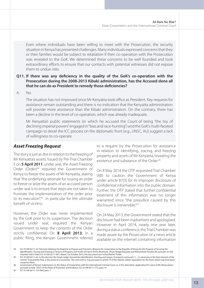Even where individuals have been willing to meet with the Prosecution, the security situation in Kenya has presented challenges. Many individuals expressed concerns that they or their families would be subject to retaliation if their co-operation with the Prosecution was revealed to the GoK. We determined these concerns to be well founded and took extraordinary efforts to ensure that our contacts with potential witnesses did not expose them to undue risks.

#### **Q11. If there was any deficiency in the quality of the GoK's co-operation with the Prosecution during the 2008-2013 Kibaki administration, has the Accused done all that he can do as President to remedy those deficiencies?**

A. No.

The situation has not improved since Mr Kenyatta took office as President. Key requests for assistance remain outstanding and there is no indication that the Kenyatta administration will provide more assistance than the Kibaki administration. On the contrary, there has been a decline in the level of co-operation, which was already inadequate.

Mr Kenyatta's public statements (in which he accused the Court of being "the toy of declining imperial powers" engaged in "bias and race-hunting") and the GoK's multi-faceted campaign to derail the ICC process on the diplomatic front (e.g., UNSC, AU) suggest a lack of willingness to co-operate.

#### *Asset Freezing Request*

The story is just as dire in relation to the freezing of Mr Kenyatta's assets. Issued by Pre-Trial Chamber II on **5 April 2011**, under seal, the Asset Freezing Order (Order)<sup>44</sup> required the Government of Kenya to freeze the assets of Mr Kenyatta, stating that "the underlying rationale for issuing an order to freeze or seize the assets of an accused person under seal is to ensure that steps are not taken to frustrate the implementation of the order prior to its execution", $45$  in particular for the ultimate benefit of victims.

However, the Order was never implemented by the GoK prior to its suspension. The decision issued under seal, required the Kenyan Government to keep the contents of the Order strictly confidential. On **8 April 2013**, in a public filing, the Kenyan Government referred

to a request by the Prosecution for assistance in relation to identifying, tracing, and freezing property and assets of Mr Kenyatta, revealing the existence and substance of the Order<sup>46</sup>

On 8 May 2014 the OTP requested Trial Chamber V(B) to caution the Government of Kenya under article 87(3) for its improper disclosure of confidential information into the public domain. Further, the OTP stated that further confidential treatment of this information was no longer warranted since "the prejudice caused by this disclosure is irreversible<sup>"47</sup>

On 24 May 2013, the Government stated that the disclosure had been inadvertent and apologised. However in April 2014, nearly one year later, during a status conference, the Trial Chamber was made aware by the Prosecution of a news article available on the internet containing information

47 ICC-01/09-02/11-733-Red, para. 7.

<sup>44</sup> ICC-01/09-02/11-42, 'Decision Ordering the Registrar to Prepare and Transmit a Request for Cooperation to the Republic of Kenya for the Purpose of Securing the Identification, Tracing and Freezing or Seizure of Property and Assets of Francis Kirimi Muthaura, Uhuru Muigai Kenyatta and Mohammed Hussein Ali', pursuant to Trial Chamber V(b)'s Order ICC-01/09-02/11-967, dated 21st October 2014, this document was reclassified as "Public.

<sup>45</sup> ICC-01/09-02/11-42, in this decision the Single Judge stressed the identification, freezing and seizure of property and assets "[…] is necessary in the best interests of the victims" to guarantee that, in the event of a conviction, "the said victims, may pursuant to article 75 of the Statute, obtain reparations for the harm which may have been caused to them."

<sup>46</sup> Government of Kenya's Submissions on the Status of Cooperation with the International Criminal Court, or, in the alternative. Application for Leave to file Observations pursuant to Rule 103(1) of the Rules of Procedure and Evidence, ICC-01/09-02/11-713, para. 41.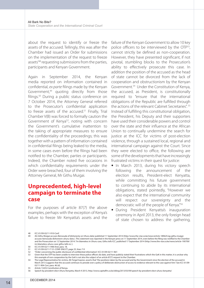about the request to identify or freeze the assets of the accused. Tellingly, this was after the Chamber had issued an Order for submissions on the implementation of the request to freeze assets'48 requesting submissions from the parties, participants and Kenyan Government.

Again in September 2014, the Kenyan media reported on information contained in confidential, *ex parte* filings made by the Kenyan Government,<sup>49</sup> quoting directly from those filings.<sup>50</sup> During a public status conference on 7 October 2014, the Attorney General referred to the Prosecutor's confidential application to freeze assets of the accused.<sup>51</sup> Finally, Trial Chamber V(B) was forced to formally caution the Government of Kenya<sup>52</sup>, noting with concern the Government's cumulative inattention to the taking of appropriate measures to ensure the confidentiality of the proceedings; this was together with a pattern of information contained in confidential filings being leaked to the media, in some cases even before the filings had been notified to the Chamber, parties or participants. Indeed, the Chamber noted five occasions in which confidentiality requirements under the Order were breached, four of them involving the Attorney General, Mr Githu Muigai.

# **Unprecedented, high-level campaign to terminate the case**

For the purposes of article 87(7) the above examples, perhaps with the exception of Kenya's failure to freeze Mr Kenyatta's assets and the

failure of the Kenyan Government to allow 10 key police officers to be interviewed by the OTP53, cannot strictly be defined as non-cooperation. However, they have presented significant, if not pivotal, stumbling blocks to the Prosecution's ability to effectively prosecute this case. In addition the position of the accused as the head of state cannot be divorced from the lack of cooperation and obstructionism by the Kenyan Government.54 Under the Constitution of Kenya, the accused, as President, is constitutionally required to "ensure that the international obligations of the Republic are fulfilled through the actions of the relevant Cabinet Secretaries". <sup>55</sup> Instead of fulfilling this constitutional obligation, the President, his Deputy and their supporters have used their considerable powers and control over the state and their influence at the African Union to continually undermine the search for justice at the ICC for victims of post-election violence, through a sustained local, regional and international campaign against the Court. Since they were elected to office, the following are some of the developments that have increasingly frustrated victims in their quest for justice:

- In March 2013, during his victory speech following the announcement of the election results, President-elect Kenyatta, while committing his future government to continuing to abide by its international obligations, stated pointedly, "However we also expect that the international community will respect our sovereignty and the democratic will of the people of Kenya."56
- During President Kenyatta's inauguration ceremony in April 2013, the only foreign head of state chosen to address the gathering,

52 "Order concerning the public disclosure of confidential information", ICC-01/09-02/11-967.

<sup>48</sup> ICC-01/09-02/11-910-Conf.

<sup>49</sup> AG Githu Muigai accuses Bensouda of dishonesty on Uhuru data', published 11 September 2014 (http://www.the-star.co.ke/news/article-189625/ag-githu-muigaiaccuses-bensouda-dishonestv-uhuru-data ). This statement was reported in the Kenyan press on 11 September 2014, even before the filing was notified to the Chamber and the Prosecution on 12 September 2014. 'I'm blameless in Uhuru case, Githu tells ICC', published 17 September 2014 (http://www.the-star.co.ke/news/article-190709/ im-blameless-uhuru-case-githu-tells-icc ).

<sup>50</sup> ICC-01/09-02/11-948-Anxl, para. 18.<br>51 ICC-01/09-02/11-T-31-CONF-FNG FT

<sup>51</sup> ICC-01/09-02/11-T-31-CONF-ENG ET, page 25, lines 7-9

<sup>53</sup> Given that the OTP has been unable to interview these police officers do date, and have publicly stated their frustrations which the GoK in this matter, it is unclear why this example of non-cooperation by the GoK is not also the subject of an article 87(7) request to the Chamber.

<sup>54</sup> The Legal Representative for victims, Mr Fergal Gaynor, asserts that "the positions taken by the accused and by the Government since the election of the accused in March 2013 suggests that the accused continues to preside over a policy of deliberate obstruction of access to evidence relevant to the case against him." See ICC-01/09- 02/11-904-Corr, para. 46 (d).

<sup>55</sup> Article 132(5) Constitution of Kenya.<br>56 Speech by president-elect Uhuru Ke

<sup>56</sup> Speech by president-elect Uhuru Kenyatta, March 9 2013, http://www.capitalfm.co.ke/eblog/2013/03/09/speech-by-president-elect-uhuru-kenyatta/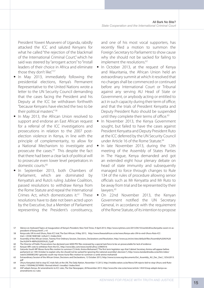President Yoweri Museveni of Uganda, rabidly attacked the ICC and saluted Kenyans for what he called "the rejection of the blackmail of the International Criminal Court," which he said was steered by "arrogant actors" to "install leaders of their choice in Africa and eliminate those they don't like." 57

- In May 2013, immediately following the presidential elections, Kenya's Permanent Representative to the United Nations wrote a letter to the UN Security Council demanding that the cases facing the President and his Deputy at the ICC be withdrawn forthwith "because Kenyans have elected the two to be their political masters." 58
- In May 2013, the African Union resolved to support and endorse an East African request for a referral of the ICC investigations and prosecutions in relation to the 2007 postelection violence in Kenya, in line with the principle of complementarity, to allow for a National Mechanism to investigate and prosecute the cases.59 This despite the fact that there had been a clear lack of political will to prosecute even lower level perpetrators in domestic courts.<sup>60</sup>
- In September 2013, both Chambers of Parliament, which are dominated by Kenyatta's and Ruto's ruling Jubilee Coalition, passed resolutions to withdraw Kenya from the Rome Statute and repeal the International Crimes Act, which domesticates it.<sup>61</sup> These resolutions have to date not been acted upon by the Executive, but a Member of Parliament representing the President's constituency,

and one of his most vocal supporters, has recently filed a motion to summon the Foreign Secretary to Parliament to show cause why she should not be sacked for failing to implement the resolutions.<sup>62</sup>

- In October 2013, at the request of Kenya and Mauritania, the African Union held an extraordinary summit at which it resolved that no charges shall be commenced or continued before any International Court or Tribunal against any serving AU Head of State or Government, or anybody acting or entitled to act in such capacity during their term of office; and that the trials of President Kenyatta and Deputy President Ruto should be suspended until they complete their terms of office.<sup>63</sup>
- In November 2013, the Kenya Government sought, but failed to have the cases against President Kenyatta and Deputy President Ruto at the ICC deferred by the UN Security Council under Article 16 of the Rome Statute.<sup>64</sup>
- In late November 2013, during the 12th meeting of the Assembly of States Parties in The Hague, Kenya demanded and got an extended eight hour plenary debate on head of state immunity and subsequently managed to force through changes to Rule 134 of the rules of procedure allowing senior officials such as Mr Kenyatta and Mr Ruto to be away from trial and be represented by their lawyers.<sup>65</sup>
- On 22nd November 2013, the Kenyan Government notified the UN Secretary General, in accordance with the requirement of the Rome Statute, of its intention to propose

- 60 The Director of Public Prosecutions has declared over 6000 PEV files reviewed by a special task force to be un-prosecutable for lack of evidence
- 61 Kenyan MPs vote to withdraw from the ICC, http://www.bbc.com/news/world-africa-23969316

63 Extraordinary Session of the African Union, Decisions and Declarations, 12 October 2013, http://www.iccnow.org/documents/Ext\_Assembly\_AU\_Dec\_Decl\_12Oct2013. pdf

<sup>57</sup> Silence on Awkward Topics at Inauguration of Kenya's President, New York Times, 9 April 2013, http://www.nytimes.com/2013/04/10/world/africa/kenyatta-sworn-in-aspresident-of-kenya.html? r=0

<sup>58</sup> Kenya asks UN to end Uhuru, Ruto ICC trial, The East African, 9 May 2013, http://www.theeastafrican.co.ke/news/Kenya-asks-UN-to-end-Uhuru-Ruto-ICCtrial-/-/2558/1848168/-/w9u2r1/-/index.html

<sup>59</sup> Assembly of the African Union, Twenty-First Ordinary Session, Decisions, Declarations and Resolution, http://www.au.int/en/sites/default/files/Assembly%20AU%20 Dec%20474-489%20(XXI)%20\_E.pdf

<sup>62</sup> Gatundu South MP Moses Kuria files motion to summon CS Amb. Amina Mohamed ["The first term legislator says that Cabinet Secretary Amina will appear before parliament on 14th October to explain why she should not be sacked for ignoring the national assembly's decision."], http://www.standardmedia.co.ke/ktn/video/ watch/2000083240/-gatundu-south-mp-moses-kuria-files-motion-to-summon-cs-amb-amina-mohamed

<sup>64</sup> Uhuru Kenyatta's bid to stop ICC trials fails at the UN, The Daily Nation, November 15 2013, http://mobile.nation.co.ke/News/UN-rejects-bid-to-stop-Uhuru-and-Rutotrials/-/1950946/2074990/-/format/xhtml/-/snxatbz/-/index.html

<sup>65</sup> ASP adopts Kenya, AU amendments to ICC rules, The Star Newspaper, 28 November 2013. http://www.the-star.co.ke/news/article-145410/asp-adopts-kenya-auamendments-icc-rules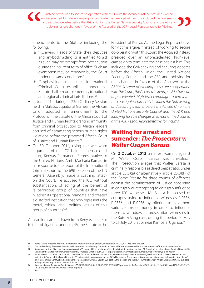Instead of working to secure co-operation with this Court, the Accused instead presided over an unprecedented, high-level campaign to terminate the case against him. This included the GoK seeking and securing debates before the African Union, the United Nations Security Council and the ASP, and lobbying for rule changes in favour of the Accused at the ASP. - Legal Representative for Victims.

amendments to the Statute including the following:

- a. "…serving Heads of State, their deputies and anybody acting or is entitled to act as such may be exempt from prosecution during their current term of office. Such an exemption may be renewed by the Court under the same conditions"
- b. "Emphasizing that the International Criminal Court established under this Statute shall be complementary to national and regional criminal jurisdictions."66
- In June 2014 during its 23rd Ordinary Session held in Malabo, Equatorial Guinea, the African Union adopted an amendment to the Protocol on the Statute of the African Court of Justice and Human Rights granting immunity from criminal prosecution to African leaders accused of committing serious human rights violations before the proposed African Court of Justice and Human Rights.<sup>67</sup>
- On 30 October 2014, using the well-worn argument of the ICC being a neo-colonial court, Kenya's Permanent Representative to the United Nations, Amb. Macharia Kamau, in his response to the report of the International Criminal Court to the 69th Session of the UN General Assembly, made a scathing attack on the Court. He accused the ICC, without substantiation, of acting at the behest of "a pernicious group of countries that have hijacked its operational mandate and created a distorted institution that now represents the moral, ethical, and…political values of this group of countries."68

A clear line can be drawn from Kenya's failure to fulfil its obligations under the Rome Statute to the

President of Kenya. As the Legal Representative for victims argues "Instead of working to secure co-operation with this Court, the Accused instead presided over an unprecedented, high-level campaign to terminate the case against him. This included the GoK seeking and securing debates before the African Union, the United Nations Security Council and the ASP, and lobbying for rule changes in favour of the Accused at the ASP."69 *"Instead of working to secure co-operation with this Court, the Accused instead presided over an unprecedented, high-level campaign to terminate the case against him. This included the GoK seeking and securing debates before the African Union, the United Nations Security Council and the ASP, and lobbying for rule changes in favour of the Accused at the ASP. - Legal Representative for Victims*.

## **Waiting for arrest and surrender:** *The Prosecutor v. Walter Osapiri Barasa*

On **2 October 2013** an arrest warrant against Mr Walter Osapiri Barasa was unsealed.<sup>70</sup> The Prosecution alleges that Walter Barasa is criminally responsible as direct perpetrator, under article 25(3)(a) or alternatively article 25(3)(f) of the Rome Statute for three counts of offences against the administration of justice consisting in corruptly or attempting to corruptly influence three ICC witnesses. Mr Barasa is accused of corruptly trying to influence witnesses P-0336, P-0536 and P-0256 by offering to pay them various sums of money in order to influence them to withdraw as prosecution witnesses in the Ruto & Sang case, during the period 20 May to 21 July 2013 at or near Kampala, Uganda.<sup>71</sup>

<sup>66</sup> Rome Statute Proposed Kenyan Amendments, https://treaties.un.org/doc/Publication/CN/2013/CN.1026.2013-Eng.pdf

<sup>67</sup> The 23rd Ordinary Session of the African Union ends in Malabo, http://summits.au.int/en/23rdsummit/events/23rd-ordinary-session-african-union-ends-malabo 68 Statement by Amb. Macharia Kamau, Ambassador/Permanent Representative of the Republic of Kenya, Agenda Item 73, Report of the International Criminal Court, 69th Session of the United Nations General Assembly, Thursday October 30th, 2014. https://papersmart.unmeetings.org/media2/4654809/kenya-e-34-73.pdf

ICC-01/09-02/11-879-Red,Para. 35. As S.D Mueller also notes "as late as October 2012, Kenya's Attorney General Githu Muigai still insisted that the EACJ could be used to try the ICC cases while also making anti-ICC statements in a conference on the ICC in Nuremberg. These were not cooperative noises, especially coming from Kenya's chief legal officer." S.D Mueller, 'Kenya and the International Criminal Court (ICC): politics, the election and the law', Journal of Eastern African Studies, 2014 , p 7 available at: http://dx.doi.org/10.1080/17531055.2013.874142

<sup>70</sup> 'Warrant of arrest for Walter Osapiri Barasa', ICC-01/09-01/13-1-Red2 02-10-2013 3/20 NM PT, pursuant to the Decisions ICC-01/09-01/13-14-US-Exp and ICC-01/09-01/13- 11-US-Exp, this document was reclassified as public.

<sup>71</sup> *Ibid*.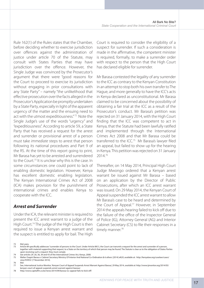Rule 162(1) of the Rules states that the Chamber, before deciding whether to exercise jurisdiction over offences against the administration of justice under article 70 of the Statute, may consult with States Parties that may have jurisdiction over the offence. However, the Single Judge was convinced by the Prosecutor's argument that there were "good reasons for the Court to proceed to exercise its jurisdiction without engaging in prior consultations with any State Party" – namely "the unlikelihood that effective prosecution over the facts alleged in the Prosecutor's Application be promptly undertaken by a State Party, especially in light of the apparent urgency of the matter and the ensuing need to act with the utmost expeditiousness." 72 Note the Single Judge's use of the words "urgency" and "expeditiousness". According to article 59, a State Party that has received a request for the arrest and surrender or provisional arrest of a person must take *immediate* steps to arrest that person following its national procedures and Part 9 of the RS. At the time of this report going to print, Mr Barasa has yet to be arrested and surrendered to the Court.73 It is unclear why this is the case. In some circumstances one could point to lack of enabling domestic legislation. However, Kenya has excellent domestic enabling legislation. The Kenyan International Crimes Act of 2008 (ICA) makes provision for the punishment of international crimes and enables Kenya to cooperate with the ICC.

#### *Arrest and Surrender*

Under the ICA, the relevant minister is required to present the ICC arrest warrant to a judge of the High Court.74 The judge of the High Court is then required to issue a Kenyan arrest warrant and the suspect is entitled to apply for bail. The High

Court is required to consider the eligibility of a suspect for surrender. If such a consideration is made in the affirmative, the competent minister is required, formally, to make a surrender order with respect to the person that the High Court has declared eligible for surrender.

Mr Barasa contested the legality of any surrender to the ICC as contrary to the Kenyan Constitution in an attempt to stop both his own transfer to The Hague, and more generally to have the ICC's acts in Kenya declared as unconstitutional. Mr Barasa claimed to be concerned about the possibility of obtaining a fair trial at the ICC as a result of the Prosecutor's conduct. Mr Barasa's petition was rejected on 31 January 2014, with the High Court finding that the ICC was competent to act in Kenya, that the Statute had been lawfully ratified and implemented through the International Crimes Act 2008 and that Mr Barasa could be transferred to the ICC.75 Mr Barasa's lawyer filed an appeal, but failed to show up for the hearing in Kenya. This petition was rejected on 31 January 2014.76

Thereafter, on 14 May 2014, Principal High Court Judge Mwongo ordered that a Kenyan arrest warrant be issued against Mr Barasa – based on an application by the Director of Public Prosecutions, after which an ICC arrest warrant was issued. On 29 May 2014, the Kenyan Court of Appeal suspended the ICC arrest warrant to allow Mr Barasa's case to be heard and determined by the Court of Appeal.77 However, in September 2014 the appeals hearing failed to kick off due to the failure of the office of the Inspector General of Police (IG), Attorney General (AG) and Interior Cabinet Secretary (CS) to file their responses in a timely manner.<sup>78</sup>

72 *Ibid*, para.

74 See articles 29 ,30, 36, 39 and 43 of the International Crimes Act, Kenya, 2008.

75 Walter Osapiri Barasa v Cabinet Secretary Ministry Of Interior And National Co-Ordination & 6 others [2014] eKLR, available at: http://kenyalaw.org/caselaw/cases/ view/93955/ [7 November 2014].

76 *Ibid*.

Article 89 specifically addresses "surrender of persons to the Court. Under Article 89(1), the Court can transmit a request for the arrest and surrender of a person, together with material supporting that request, to a State on the territory of which that person may be found. The Statute is clear as to the obligation of States Parties upon receiving such a request: they must comply

<sup>77</sup> See, International Justice Monitor, 'Kenyan Court of Appeal Suspends Arrest Warrant Against Barasa', 29 May 2014, *available at*: http://www.ijmonitor.org/2014/05/ kenyan-court-of-appeal-suspends-arrest-warrant-against-barasa/.

<sup>78</sup> http://www.capitalfm.co.ke/news/2014/09/barasa-icc-appeal-fails-to-kick-off/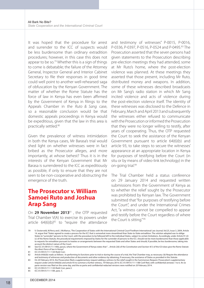It was hoped that the procedure for arrest and surrender to the ICC of suspects would be less burdensome than ordinary extradition procedures; however, in this case this does not appear to be so.<sup>79</sup> Whether this is a sign of things to come is debatable; the failure of the Attorney General, Inspector General and Interior Cabinet Secretary to file their responses in good time could well point to another well-rehearsed saga of obfuscation by the Kenyan Government. The matter of whether the Rome Statute has the force of law in Kenya has even been affirmed by the Government of Kenya in filings to the Appeals Chamber in the *Ruto & Sang* case, so a reasonable conclusion would be that domestic appeals proceedings in Kenya would be expeditious, given that the law in this area is practically settled.80

Given the prevalence of witness intimidation in both the Kenya cases, Mr Barasa's trial would shed light on whether witnesses were in fact bribed as the Prosecutor alleges, and more importantly, at whose behest? Thus it is in the interests of the Kenyan Government that Mr Barasa is surrendered to the ICC as expeditiously as possible, if only to ensure that they are not seen to be non-cooperative and obstructing the emergence of the truth.

# **The Prosecutor v. William Samoei Ruto and Joshua Arap Sang**

On 29 November 2013<sup>81</sup>, the OTP requested Trial Chamber V(A) to exercise its powers under article  $64(6)(b)^{82}$  to "require the attendance

and testimony of witnesses" P-0015, P-0016, P-0336, P-0397, P-0516, P-0524 and P-0495.83 The Prosecution asserted that the seven persons had given statements to the Prosecution describing pre-election meetings they had attended, some at Mr Ruto's home, where the post-election violence was planned. At these meetings they asserted that those present, including Mr Ruto, distributed money and weapons. In addition, some of these witnesses described broadcasts on Mr Sang's radio station in which Mr Sang incited violence and acts of violence during the post-election violence itself. The identity of these witnesses was disclosed to the Defence in February, March and April 2013 and subsequently the witnesses either refused to communicate with the Prosecution or informed the Prosecution that they were no longer willing to testify, after years of cooperating. Thus, the OTP requested the Court to seek the assistance of the Kenyan Government pursuant to article 64(6)(b) and article 93, to take steps to secure the witnesses' appearance at an appropriate location in Kenya for purposes of testifying before the Court (in situ or by means of video-link technology) in the on-going trial.84

The Trial Chamber held a status conference on 29 January 2014 and requested written submissions from the Government of Kenya as to whether the relief sought by the Prosecutor was prohibited by Kenyan law. The Government submitted that "for purposes of testifying before the Court", and under the International Crimes Act, "a witness cannot be compelled to appear and testify before the Court regardless of where the Court is sitting." 85

<sup>79</sup> V. Oosterveld, M.Perry and J. McManus, 'The Cooperation of States with the International Criminal Court'Fordham International Law Journal, Vol.25, Issue 3, 2004, Article 14, argue that "States agreed to create a process for the ICC that is somewhat more streamlined than State-to-State extradition. The solution adopted was to oblige States to "surrender" persons to the Court, with the procedure to be followed left to the individual States, subject to certain limitations. Accordingly, under Article 91 (2) (c) of the Rome Statute, the procedural requirements imposed by States for the surrender of persons to the ICC: should not be more burdensome than those applicable to requests for extradition pursuant to treaties or arrangements between the requested State and other States and should, if possible, be less burdensome, taking into account the distinct nature of the Court.

<sup>80</sup> See ICC-01/09-01/11-1406, para.6, where the Government of Kenya states that "...Article 2(6) of the Constitution and Section 4(1) of the ICA does give the Rome Statute the direct force of law in Kenya".

<sup>81</sup> ICC-01/09-01/11-1120-Red2-Corr.

<sup>82</sup> Article 64(6)(b) reads as follows : In performing its functions prior to trial or during the course of a trial, the Trial Chamber may, as necessary: (b) Require the attendance and testimony of witnesses and production of documents and other evidence by obtaining, if necessary, the assistance of States as provided in this Statute.

<sup>83</sup> On 20 February 2014, the Prosecution filed a supplementary request adding a witness to the relief sought in the Summonses Request, Prosecution's supplementary request under article 64(6)(b) and article 93 to summon a further witness, 19 February 2014, ICC-01/09-01/11-1188-Conf-Red, with confidential annexes 1 to 6. An ex parte version was filed on the same day, and the ex parte and confidential redacted versions were notified on 20 February 2014.

<sup>84</sup> ICC-01/09-01/11-1120-Red2-Corr, para.3.<br>85 ICC-01/09-01/11-1184. para. 5. ICC-01/09-01/11-1184, para. 5.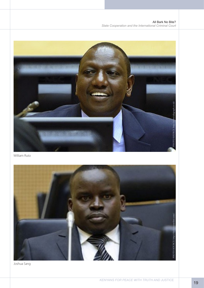All Bark No Bite? *State Cooperation and the International Criminal Court*



William Ruto



Joshua Sang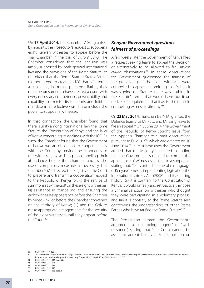On **17 April 2014**, Trial Chamber V (A)) granted, by majority, the Prosecutor's request to subpoena eight Kenyan witnesses to appear before the Trial Chamber in the trial of *Ruto & Sang*. The Chamber considered that the decision was amply supported by both general international law and the provisions of the Rome Statute, to the effect that the Rome Statute States Parties did not intend to create an ICC that is 'in terms a substance, in truth a phantom'. Rather, they must be presumed to have created a court with every necessary competence, power, ability and capability to exercise its functions and fulfil its mandate in an effective way. These include the power to subpoena witnesses.

In that connection, the Chamber found that there is unity among international law, the Rome Statute, the Constitution of Kenya and the laws of Kenya concerning its dealings with the ICC. As such, the Chamber found that the Government of Kenya has an obligation to cooperate fully with the Court, by serving the subpoenas to the witnesses, by assisting in compelling their attendance before the Chamber and by the use of compulsory measures as necessary. Trial Chamber V (A) directed the Registry of the Court to prepare and transmit a cooperation request to the Republic of Kenya for: (i) the service of summonses by the GoK on these eight witnesses; (ii) assistance in compelling and ensuring the eight witnesses' appearance before the Chamber by video-link, or before the Chamber convened on the territory of Kenya; (iii) and the GoK to make appropriate arrangements for the security of the eight witnesses until they appear before the Court.<sup>86</sup>

#### *Kenyan Government questions fairness of proceedings*

A few weeks later the Government of Kenya filed a request seeking leave to appeal the decision, or alternatively to be allowed to file *amicus curiae* observations.87 In these observations the Government questioned the fairness of the proceedings if the eight witnesses were compelled to appear, submitting that "when it was signing the Statute, there was nothing in the Statute's terms that would have put it on notice of a requirement that it assist the Court in compelling witness testimony."88

On **23 May 2014**, Trial Chamber V (A) granted the Defence teams for Mr Ruto and Mr Sang leave to file an appeal.89 On 3 June 2014, the Government of the Republic of Kenya sought leave from the Appeals Chamber to submit observations pursuant to Rule 103<sup>90</sup>, which was granted on 10 June 2014.<sup>91</sup> In its submissions the Government argued that the Majority had erred in finding that the Government is obliged to compel the appearance of witnesses subject to a subpoena, stating that: "(i) it contradicts the plain language of Kenya's domestic implementing legislation, the International Crimes Act (2008) and its drafting history; (ii) it is contrary to the Constitution of Kenya, it would unfairly and retroactively impose a criminal sanction on witnesses who thought they were participating in a voluntary process; and (iii) it is contrary to the Rome Statute and controverts the understanding of other States Parties who have ratified the Rome Statute."92

The Prosecution termed the Government's arguments as not being "cogent" or "wellreasoned", stating that "the Court cannot be asked to accept blindly a State's position on

86 ICC-01/09-01/1 1-1274.

- 88 ICC-01/09-01/11-1304, para. 22.
- 89 ICC-01/09-01/11-1313.
- 90 ICC-01/09-01/11-1333.<br>91 ICC-01/09-01/11-1350.
- 91 ICC-01/09-01/11-1350.<br>92 ICC-01/09-01/11-1406. ICC-01/09-01/11-1406, para.2.
- 

<sup>87</sup> The Government of the Republic of Kenya's Request for an Extension of Time and/or Leave to Seek Leave to Appeal the Decision on Prosecutor's Application for Witness Summons and resulting Request for State Party Cooperation, 25 April 2014, ICC-01/09-01/11-1277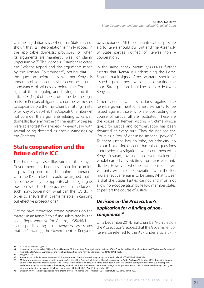what its legislation says when that State has not shown that its interpretation is firmly rooted in the applicable domestic provisions, or when its arguments are manifestly weak or plainly unpersuasive."93 The Appeals Chamber rejected the Defence appeal and the arguments made by the Kenyan Government<sup>94</sup>, noting that "... the question before it is whether Kenya is under an obligation to assist in compelling the appearance of witnesses before the Court. In light of the foregoing and having found that article 93 (1) (b) of the Statute provides the legal basis for Kenya's obligation to compel witnesses to appear before the Trial Chamber sitting in situ or by way of video-link, the Appeals Chamber will not consider the arguments relating to Kenyan domestic law any further."95 The eight witnesses were able to testify via video-link eventually, with several being declared as hostile witnesses by the Chamber.

# **State cooperation and the future of the ICC**

The three Kenya cases illustrate that the Kenyan Government has been less than forthcoming in providing prompt and genuine cooperation with the ICC. In fact, it could be argued that it has done exactly the opposite, often aligning its position with the three accused. In the face of such non-cooperation, what can the ICC do in order to ensure that it remains able in carrying out effective prosecutions?

Victims have expressed strong opinions on the matter: in an annex $96$  to a filing submitted by the Legal Representative for Victims, a/35046/14, a victim participating in the *Kenyatta* case states that he "…want[s] the Government of Kenya to be sanctioned. All those countries that provide aid to Kenya should pull out and the Assembly of State parties notified of Kenya's non – cooperation..."

In the same annex, victim a/9308/11 further asserts that "Kenya is undermining the Rome Statute that it signed. Arrest warrants should be issued against those who are obstructing the court. Strong action should be taken to deal with Kenya...".

Other victims want sanctions against the Kenyan government or arrest warrants to be issued against those who are obstructing the course of justice; all are frustrated. These are the voices of Kenyan victims - victims whose quest for justice and compensation has been thwarted at every turn. They do not see the Court as a "toy of declining imperial powers".<sup>97</sup> To them justice has no tribe, no ethnicity, no colour. Not a single victim has raised questions about why investigations were commenced in Kenya; instead, investigations were welcomed wholeheartedly by victims from across ethnic divides. However, whether sanctions or arrest warrants will make cooperation with the ICC more effective remains to be seen. What is clear is that the States Parties cannot and must not allow non-cooperation by fellow member states to pervert the course of justice.

#### *Decision on the Prosecution's application for a finding of noncompliance* **<sup>98</sup>**

On 3 December 2014, Trial Chamber V(B) ruled on the Prosecution's request that the Government of Kenya be referred to the ASP under article 87(7)

95 *Ibid*, para. 133.

<sup>93</sup> ICC-01/09-01/11-1412, para 4

<sup>94</sup> Judgment on the appeals of William Samoei Ruto and Mr Joshua Arap Sang against the decision of Trial Chamber V (A) of 17 April 2014 entitled "Decision on Prosecutor's Application for Witness Summonses and resulting Request for State Party Cooperation", ICC-01/09-01/11-1598.

<sup>96</sup> Annex to the Public Redacted Version of 'Victims' response to Prosecution notice regarding the provisional trial', ICC-01/09-02/11-946-Anx.

<sup>97</sup> Mr Kenyatta addressed the AU at the Extraordinary Session of the Assembly of Heads of State at Government in Addis Ababa on 13 October 2013, describing the court as "the toy of declining imperial powers" and saying it represented "a fetid insult" to Africa. He added: "It is the fact that this court performs on the cue of European and American governments against the sovereignty of African States and peoples that should outrage us. People have termed this situation 'race-hunting'. I find great<br>difficulty adjudging them wrong." Full speech available

<sup>98</sup> Decision on Prosecution's application for a finding of non-compliance under Article 87(7) of the Statute, ICC-01/09-01/11-982.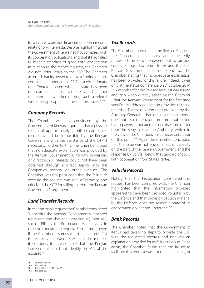for a failure to provide financial and other records relating to Mr Kenyatta. Despite highlighting that the Government of Kenya had not complied with its cooperation obligations, and that it had failed to meet a standard of good faith cooperation in relation to the record requests, the Chamber did not refer Kenya to the ASP. The Chamber asserted that its power to make a finding of noncompliance under article 87(7) is a discretionary one. Therefore, even where a state has been non-compliant, it is up to the relevant Chamber to determine whether making such a referral would be "appropriate in the circumstances." 100

#### *Company Records*

The Chamber was not convinced by the Government of Kenya's argument that a physical search of approximately 2 million companies records would be impossible by the Kenyan Government with the assistance of the OTP if necessary. Further to this, the Chamber noted that no adequate explanation was provided by the Kenyan Government as to why ownership or directorship interests could not have been obtained through a direct search with the Companies registry or other avenues. The Chamber was not persuaded that the failure to execute this request was one of capacity, and criticized the OTP for failing to rebut the Kenyan Government's argument.

#### *Land Transfer Records*

In relation to this request the Chamber considered "unhelpful the Kenyan Government's repeated representation that the provision of, inter alia, such a PIN by the Prosecution is necessary in order to execute the request. Furthermore, even if the Chamber assumes that the accused's PIN is necessary in order to execute the request, it considers it unreasonable that the Kenyan Government could not identify the PIN of the accused."101

- 100 *Ibid*, para.39. 101 ICC-01/09-01/11-982, para. 56.
- 102 *Ibid*, para. 60.

#### *Tax Records*

The Chamber noted that in the Revised Request, the Prosecution has clearly, and repeatedly, requested the Kenyan Government to provide copies of those tax return forms and that the. Kenyan Government had not done so. The Chamber stating that "no adequate explanation has been provided for this failure. Indeed, it was only at the status conference on 7 October 2014 - six months after the Revised Request was issued and only when directly asked by the Chamber - that the Kenyan Government for the first time specifically addressed the non-provision of those materials. The explanation then provided by the Attorney General - that the revenue authority does not retain the tax return forms submitted by tax payers - appeared to base itself on a letter from the Kenyan Revenue Authority, which, in the view of the Chamber, is not necessarily clear on this point."102 Again the Chamber concluded that the issue was not one of a lack of capacity on the part of the Kenyan Government, and the response by GoK fell below the standard of good faith cooperation from States Parties.

#### *Vehicle Records*

Noting that the Prosecution considered this request has been complied with; the Chamber highlighted that the information provided appeared to have been provided voluntarily by the Defence and that provision of such material by the Defence does not relieve a State of its cooperation obligations under the RS.

#### *Bank Records*

The Chamber noted that the Government of Kenya had taken no steps to provide the OTP with the requested records, and nor was an explanation provided for its failure to do so. Once again, the Chamber found that the failure to facilitate this request was not one of capacity, or

<sup>99</sup> Emphasis added.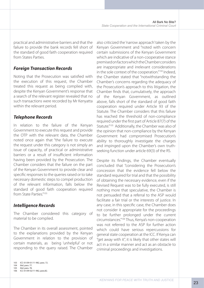practical and administrative barriers and that the failure to provide the bank records fell short of the standard of good faith cooperation required from States Parties.

#### *Foreign Transaction Records*

Noting that the Prosecution was satisfied with the execution of this request, the Chamber treated this request as being complied with, despite the Kenyan Government's response that a search of the relevant register revealed that no such transactions were recorded by Mr Kenyatta within the relevant period.

#### *Telephone Records*

In relation to the failure of the Kenyan Government to execute this request and provide the OTP with the relevant data, the Chamber noted once again that "the failure to execute the request under this category is not simply an issue of capacity, of practical or administrative barriers or a result of insufficient information having been provided by the Prosecution. The Chamber considers that the failure on the part of the Kenyan Government to provide clear and specific responses to the queries raised or to take necessary domestic steps to compel production of the relevant information, falls below the standard of good faith cooperation required from State Parties."<sup>103</sup>

#### *Intelligence Records*

The Chamber considered this category of material to be complied.

The Chamber in its overall assessment, pointed to the explanations provided by the Kenyan Government in relation to the provision of certain materials, as being 'unhelpful' or not responding to the query raised. The Chamber

also criticized the 'narrow approach' taken by the Kenyan Government and "noted with concern certain submissions of the Kenyan Government which are indicative of a non-cooperative stance premised on factors which the Chamber considers are inappropriate and irrelevant considerations in the sole context of the cooperation."104 Indeed, the Chamber stated that "notwithstanding the Chamber's concerns regarding the adequacy of the Prosecution's approach to this litigation, the Chamber finds that, cumulatively, the approach of the Kenyan Government, as outlined above, falls short of the standard of good faith cooperation required under Article 93 of the Statute. The Chamber considers that this failure has reached the threshold of non-compliance required under the first part of Article 87(7) of the Statute."<sup>105</sup> Additionally, the Chamber was also of the opinion that non-compliance by the Kenyan Government had compromised Prosecution's ability to thoroughly investigate the charges and impinged upon the Chamber's own truthseeking function under article 69(3) of the RS.

Despite its findings, the Chamber eventually concluded that "considering the Prosecution's concession that the evidence fell below the standard required for trial and that the possibility of obtaining the necessary evidence, even if the Revised Request was to be fully executed, is still nothing more that speculative, the Chamber is not persuaded that a referral to the ASP would facilitate a fair trial or the interests of justice. In any case, in this specific case, the Chamber does not consider it appropriate for the proceedings to be further prolonged under the current circumstances."106 Thus, Kenya's non-cooperation was not referred to the ASP for further action which could have serious repercussions for general state cooperation at the ICC. If Kenya can "get away with it", it is likely that other states will act in a similar manner and act as an obstacle to criminal proceedings and investigations.

<sup>103</sup> ICC-01/09-01/11-982, para. 72.

<sup>104</sup> *Ibid*, para. 77. 105 *Ibid*, para. 78.

<sup>106</sup> ICC-01/09-02/11-982, para.82.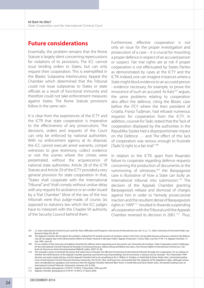#### **Future considerations**

Essentially, the problem remains that the Rome Statute is largely silent concerning repercussions for violations of its provisions. The ICC cannot issue binding orders to States, but can only request their cooperation. This is exemplified in the Blaskic Subpoena Interlocutory Appeal the Chamber which determined that the Tribunal could not issue subpoenas to States or state officials as a result of functional immunity and therefore could not take enforcement measures against States. The Rome Statute provisions follow in the same vein.

It is clear from the experiences of the ICTY and the ICTR that state cooperation is imperative to the effectiveness of any prosecutions. The decisions, orders and requests of the Court can only be enforced by national authorities. With no enforcement agency at its disposal, the ICC cannot execute arrest warrants, compel witnesses to give testimony, collect evidence or visit the scenes where the crimes were perpetrated, without the acquiescence of national state authorities. Article 28 of the ICTR Statute and Article 29 of the ICTY provided a very general provision for state cooperation in that, "States shall cooperate with the International Tribunal" and "shall comply without undue delay with any request for assistance or an order issued by a Trial Chamber". Most of the law of the two tribunals were thus judge-made, of course, (as opposed to statutory law which the ICC judges have to interpret) with the Chapter VII authority of the Security Council behind them.

Furthermore, effective cooperation is not only an issue for the proper investigation and prosecution of a case – it is crucial for mounting a proper defence in respect of an accused person or suspect. Fair trial rights are at risk if proper cooperation is not effectuated by States Parties as demonstrated by cases at the ICTY and the ICTR. Indeed, one can imagine instances where a State might block evidence to an accused person - evidence necessary, for example, to prove the innocence of such an accused. As Katz $107$  argues, the same problems relating to cooperation also affect the defence, citing the *Blaskic* case before the ITCY where the then president of Croatia, Franjo Tudjman, had refused numerous requests for cooperation from the ICTY. In addition, counsel for Tadic stated that the "lack of cooperation displayed by the authorities in the Republika Srpska had a disproportionate impact on the Defence … and The effect of this lack of cooperation was serious enough to frustrate [Tadic's] right to a fair trial."<sup>108</sup>

In relation to the ICTR, apart from Rwanda's failure to cooperate regarding defence requests concerning the production of documents or the summoning of witnesses,109 the *Barayagwiza* case is illustrative of how a State can bully an international tribunal into submission.<sup>110</sup> The decision of the Appeals Chamber granting Barayagwiza's release and dismissal of charges against him in order to "remedy prosecutorial inaction and the resultant denial of Barayagwiza's rights in 1999" 111 resulted in Rwanda suspending all cooperation with the Tribunal until the Appeals Chamber reversed its decision in 2001.<sup>112</sup> Thus,

<sup>107</sup> J.C. Katz, 'International Criminal Courts and Fair Trials: Difficulties and Prospects', *Yale Journal of International Law*, Vol. 27, p. 111, 2002, University of Cincinnati Public Law Research Paper No. 06-29

<sup>108</sup> The Appeals Chamber did recognise this problem, stating that "[it would] conceive of situations where a fair trial is not possible because witnesses central to the defence case do not appear due to the obstructionist efforts of a State," however it did reject Tadic's Appeal, Prosecutor v. Dutco Tadic, Case No: IT-94-1-A, Appeals Chamber, 15 July 1999, para.29.

<sup>109</sup> For an analysis of the intricacies of problems faced by the defence when requesting such documents see: Charmaine de los Reyes, 'State Cooperation and its Challenges for the International Criminal Tribunal for Rwanda', in Emmanuel Decaux, Adama Dieng and Malick Sow (eds.), *From Human Rights to International Criminal Law / Des droits de l'homme au droit international pénal* (Nijhoff, Leiden, 2007) 55, 80.

<sup>110</sup> This example is given to illustrate the power that states have to hamper the effective functioning of international tribunals through non-cooperation. For an analysis of whether the initial decision of the Appeals Chamber granting a permanent stay of proceedings was far too drastic a measure see, for example : The 3 November 1999 decision was quite simply bad law, and the Appeals Chamber had to do something to fix it.' William A. Schabas, in André Klip & Göran Sluiter (eds.), *Annotated Leading Cases of International Criminal Tribunals* (Antwerp, Intersentia, Vol. VI) 261-262). And Swart has commented that 'the violations of the Appellant's rights, although serious, were considerably less egregious and numerous than the Appeals Chamber believed' (Bert Swart, in André Klip and Göran Sluiter (eds.), Annotated Leading Cases of

International Criminal Tribunals, (Intersentia, Antwerp, Vol. II) 206). 111 Appeals Chamber, *Barayagwiza* I, ICTR-97-19-AR72, 3 November 1999, para.99.

<sup>112</sup> Appeals Chamber, *Barayagwiza* II, ICTR-97-19-AR72, 31 March 2000.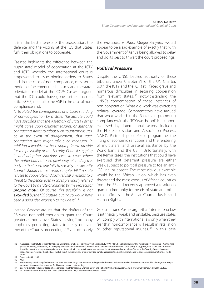it is in the best interests of the prosecution, the defence and the victims at the ICC that States fulfil their obligations to cooperate.

Cassese highlights the difference between the 'supra-state' model of cooperation at the ICTY and ICTR whereby the international court is empowered to issue binding orders to States and, in the case of non-compliance, may set in motion enforcement mechanisms, and the stateorientated model at the ICC.113 Cassese argued that the ICC could have gone further than an article 87(7) referral to the ASP in the case of noncompliance and:

*"articulated the consequences of a Court's finding of non-cooperation by a state. The Statute could have specified that the Assembly of States Parties might agree upon countermeasures, or authorise contracting states to adopt such countermeasures, or, in the event of disagreement, that each contracting state might take such measures. In addition, it would have been appropriate to provide for the possibility of the Security Council stepping in and adopting sanctions even in cases where the matter had not been previously referred by this body to the Court: one fails to see why the Security Council should not act upon Chapter VII if a state refuses to cooperate and such refusal amounts to a threat to the peace, even in cases previously referred to the Court by a state or initiated by the Prosecutor proprio motu. Of course, this possibility is not excluded by the ICC Statute, but it also would have been a good idea expressly to include it."*<sup>114</sup>

Instead Cassese argues that the drafters of the RS were not bold enough to grant the Court greater authority over States, leaving "too many loopholes permitting states to delay or even thwart the Court's proceedings."115 Unfortunately

the *Prosecutor v Uhuru Muigai Kenyatta* would appear to be a sad example of exactly that, with the Government of Kenya being allowed to delay and do its best to thwart the court proceedings.

#### *Political Pressure*

Despite the UNSC backed authority of these tribunals under Chapter VII of the UN Charter, both the ICTY and the ICTR still faced grave and numerous difficulties in securing cooperation from relevant states, $116$  notwithstanding the UNSC's condemnation of these instances of non-cooperation. What did work was exercising political leverage. Commentators have argued that what worked in the Balkans in promoting compliance with the ITCY was the political support exercised by international actors including the EU's Stabilisation and Association Process, NATO's Partnership for Peace programme, the lifting of economic sanctions and the rendering of multilateral and bilateral assistance by the World Bank and the US.<sup>117</sup> Unfortunately, with the Kenya cases, the institutions that could have exercised that deterrent pressure are either weak, subject to political pressure to toe an anti-ICC line, or absent. The most obvious example would be the African Union, which has even threatened the mass exodus of African countries from the RS and recently approved a resolution granting immunity for heads of state and other senior officials at the African Court of Justice and Human Rights.

Goldsmith and Posner argue that international law is intrinsically weak and unstable, because states will comply with international law only when they fear that noncompliance will result in retaliation or other reputational injuries.<sup>118</sup> In this case

<sup>113</sup> A.Cassese, 'The Statute of the International Criminal Court: Some Preliminary Reflections', EJIL 1999, P164. See also R. Rastan, 'The responsibility to enforce – Connecting justice with unity', Chapter 10, in *'Emerging Practice of the International Criminal Court'* Carsten Stahn and Göran Sluiter (eds.), 2009, p.165, who states that "the Court is entitled to act, and request compliance from States with its requests for cooperation, even in situations and cases where States or the Security Council have not requested intervention, The ability of the ICC to act independently of prior political sanction represents a significant challenge to state-centric assumptions of world order."

<sup>114</sup> *Supra* note 83, p.166.

<sup>115</sup> *Ibid*.

<sup>116</sup> For example, after having fled Rwanda in 1994, Félicien Kabuga has remained at large and is believed to have resided in the Democratic Republic of Congo and Kenya amongst other countries, a warrant for his arrest remains outstanding.

<sup>117</sup> See for example, R.Rastan, 'Testing Co-operation: The International Criminal Court and National Authorities', *Leiden Journal of International Law*, 21 (2008), p.483. 118 J.L Goldsmith and E.A.Posner, 'The Limits of International Law', Oxford University Press, (2005).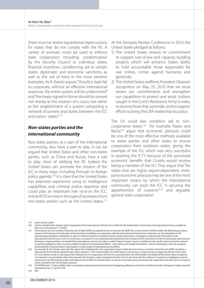there must be severe reputational repercussions for states that do not comply with the RS. A variety of avenues could be used to enforce state cooperation including: condemnation by the Security Council or individual states, financial incentives, conditioning aid to certain states, diplomatic and economic sanctions, as well as the use of force in the most extreme examples. As R. Rastan argues "Should a state fail to cooperate, without an effective international response, the entire system will be undermined" and "the treaty signed in Rome should be viewed not merely as the creation of a court, but rather as the establishment of a system comprising a network of powers and duties between the ICC and nation-states"<sup>119</sup>

#### *Non-states parties and the international community*

Non-states parties, as a part of the international community, also have a part to play. It can be argued that United States and other non-states parties, such as China and Russia, have a role to play, short of ratifying the RS. Indeed the United States can promote the mission of the ICC in many ways, including through its foreign policy agenda.120 It is clear that the United States has extensive experience using its intelligence capabilities and criminal justice expertise and could play an important role vis-à-vis the ICC. Article 87(5) envisions this type of assistance from non-states parties such as the United States.121

At the Kampala Review Conference in 2010 the United States pledged as follows:

- 1) The United States renews its commitment to support rule-of-law and capacity building projects which will enhance States 'ability to hold accountable those responsible for war crimes, crimes against humanity and genocide.
- 2) The United States reaffirms President Obama's recognition on May 25, 2010 that we must renew our commitments and strengthen our capabilities to protect and assist civilians caught in the [Lord's Resistance Army's] wake, to receive those that surrender, and to support efforts to bring the LRA leadership to justice.

The US could also condition aid to noncooperative states.122 For example, Roper and Barria<sup>123</sup> argue that economic pressure could be one of the most effective methods available to states parties and other states to ensure cooperation from stubborn states, giving the example of the EU, which was very successful in assisting the ICTY because of the perceived economic benefits that Croatia would receive being a member of the EU. They argue that "for states that are highly export-dependent, thirdparty economic pressure may be one of the most important means by which the international community can assist the ICC in securing the apprehension of suspects"124 and arguably general state cooperation.

124 *Ibid*.

<sup>119</sup> *Supra* note 93, p.456.

<sup>120</sup> See for example, B.Van Schaak, 'State Cooperation & The International Criminal Court: A Role for the United States?', Santa Clara University School of Law, available at: http://ssrn.com/abstract= 1773691

<sup>121</sup> The American Service members' Protection Act of 2002 (ASPA) was signed into law on January 28, 2008. The current version of ASPA includes the following provisions, subject to full waivers at the discretion of the president: prohibition on cooperation with the International Criminal Court; restrictions on US participation in UN peacekeeping operations; prohibition on direct or indirect transfer of classified national security information, including law enforcement information, to the International Criminal Court, even if no American is accused of a crime; preauthorized authority to free members of the armed forces of the US and certain other persons detained or imprisoned by or on behalf of the international criminal court (the so-called "Hague Invasion" clause). In addition to the specific waiver provisions relevant to specific prohibitions, there is section entitled "Assistance to International Efforts" - also known as the Dodd Amendment - which is essentially a catch-all exception authorizing the US government to participate in a wide-range of international justice efforts.

<sup>122</sup> For example, B. Van Schaak, *supra* note 96, argues that "mitigating the anti-cooperation aspects of the American Service-members' Protection Act (ASPA) should be a high priority for the Obama Administration and a repeal of s. 7423 would enable the United States to choose from a range of ways to cooperate with the Court when<br>it is in its interests to do so." She argues that "total ban U.S. interests in accountability where they dovetail with situations under investigation by the Court. It also leaves the ICC without U.S. expertise in intelligence and law enforcement. By effectuating modest amendments to the ASPA, the United States can remain a non-State party and still provide cooperation and other forms of support where consistent with United States interests."

<sup>123</sup> S.D. ROPER and L. A. Barria (2008), State Co-operation and International Criminal Court Bargaining Influence in the Arrest and the Surrender of Suspects', *Leiden Journal of International Law*, 21, pp 457-476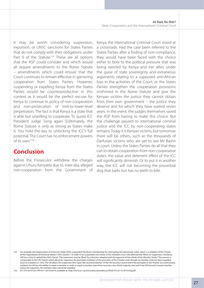It may be worth considering suspension, expulsion, or UNSC sanctions for States Parties that do not comply with their obligations under Part 9 of the Statute.<sup>125</sup> These are all options that the ASP could consider and which would all require amendments to the Rome Statute – amendments which could ensure that the Court continues to remain effective in garnering cooperation from States Parties. However, suspending or expelling Kenya from the States Parties would be counterproductive in this context as it would be the perfect excuse for Kenya to continue its policy of non-cooperation and non-prosecution of mid-to-lower-level perpetrators. The fact is that Kenya is a state that is able but unwilling to cooperate. To quote ICC President Judge Song again '[U]ltimately, the Rome Statute is only as strong as States make it. You hold the key to unlocking the ICC's full potential. The Court has no enforcement powers of its own."126

# **Conclusion**

Before the Prosecutor withdrew the charges against Uhuru Kenyatta due to, inter-alia, alleged non-cooperation from the Government of

Kenya the International Criminal Court stood at a crossroads. Had the case been referred to the States Parties after a finding of non-compliance, they would have been faced with the choice either to bow to the political pressure that was being exerted by Kenya and her allies under the guise of state sovereignty and extraneous arguments relating to a supposed anti-African bias in the activities of the Court, or the States Parties strengthen the cooperation provisions enshrined in the Rome Statute and give the Kenyan victims the justice they cannot obtain from their own government – the justice they deserve and for which they have waited seven years. In the event, the judges themselves saved the ASP from having to make this choice. But the challenge paused to international criminal justice and the ICC by non-cooperating states remains. Today it is Kenyan victims, but tomorrow there will be others, such as the thousands of Darfurian victims who are yet to see Mr Bashir in court. Unless the States Parties do all that they can to obtain cooperation from non-cooperative states, the value and deterrent effect of the ICC will significantly diminish. Or to put it in another way, the ICC will risk becoming the proverbial dog that barks but has no teeth to bite.

126 ICC-CPI-20141031-PR1057: 30/10/2014, available at: http://www.icc-cpi.int/iccdocs/presidency/UNGA-PS-30-10-2014-Eng.pdf

<sup>125</sup> For example, the Organisation of American States (OAS) suspended Honduras' membership for interrupting the democratic order, which is a violation of the Charter of the Organization of American States ("OAS Charter"). In order to be suspended, two-thirds of the members must vote affirmatively. While on suspension, Honduras still has a duty to uphold the OAS Charter. The suspension may be lifted "by a decision adopted with the approval of two-thirds of the Member States." This process is comparable to the UN Charter which allows for "expulsion for persistent violations of the principles of the Charter," even though no member state has been expelled since its inception in 1945. The UN allows for suspension first "upon the recommendation" of the UN Security Council and if the principles in the Charter are continuously violated, the UN has the ability to expel a member. In order to expel a member state there must be a two-thirds majority vote and if any UN Security Council member vetoes the expulsion, the member state cannot be expelled.